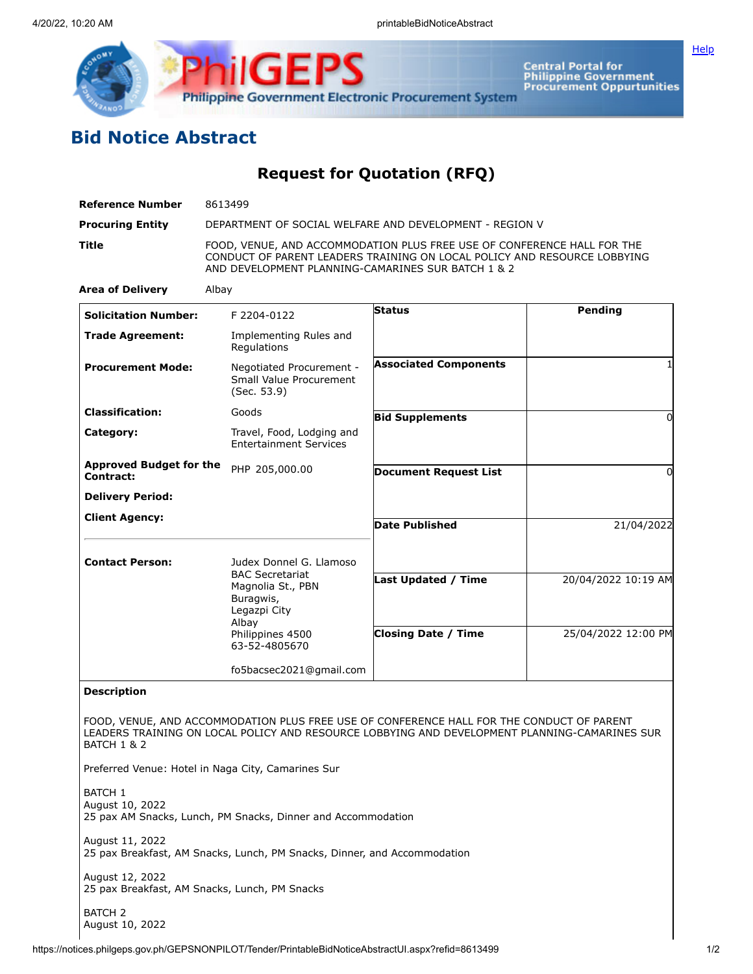

**Central Portal for<br>Philippine Government<br>Procurement Oppurtunities** 

## **Bid Notice Abstract**

**Request for Quotation (RFQ)**

| <b>Reference Number</b>                                          | 8613499                                                                                                                                                                                                   |                                                   |                                            |
|------------------------------------------------------------------|-----------------------------------------------------------------------------------------------------------------------------------------------------------------------------------------------------------|---------------------------------------------------|--------------------------------------------|
| <b>Procuring Entity</b>                                          | DEPARTMENT OF SOCIAL WELFARE AND DEVELOPMENT - REGION V                                                                                                                                                   |                                                   |                                            |
| Title                                                            | FOOD, VENUE, AND ACCOMMODATION PLUS FREE USE OF CONFERENCE HALL FOR THE<br>CONDUCT OF PARENT LEADERS TRAINING ON LOCAL POLICY AND RESOURCE LOBBYING<br>AND DEVELOPMENT PLANNING-CAMARINES SUR BATCH 1 & 2 |                                                   |                                            |
| <b>Area of Delivery</b>                                          | Albay                                                                                                                                                                                                     |                                                   |                                            |
| <b>Solicitation Number:</b>                                      | F 2204-0122                                                                                                                                                                                               | <b>Status</b>                                     | Pending                                    |
| <b>Trade Agreement:</b>                                          | Implementing Rules and<br>Regulations                                                                                                                                                                     |                                                   |                                            |
| <b>Procurement Mode:</b>                                         | Negotiated Procurement -<br>Small Value Procurement<br>(Sec. 53.9)                                                                                                                                        | <b>Associated Components</b>                      |                                            |
| <b>Classification:</b>                                           | Goods                                                                                                                                                                                                     | <b>Bid Supplements</b>                            | 0                                          |
| Category:                                                        | Travel, Food, Lodging and<br><b>Entertainment Services</b>                                                                                                                                                |                                                   |                                            |
| <b>Approved Budget for the</b><br>Contract:                      | PHP 205,000.00                                                                                                                                                                                            | <b>Document Request List</b>                      | 0                                          |
| <b>Delivery Period:</b>                                          |                                                                                                                                                                                                           |                                                   |                                            |
| <b>Client Agency:</b>                                            |                                                                                                                                                                                                           | <b>Date Published</b>                             | 21/04/2022                                 |
| <b>Contact Person:</b>                                           | Judex Donnel G. Llamoso<br><b>BAC Secretariat</b><br>Magnolia St., PBN<br>Buragwis,<br>Legazpi City<br>Albay<br>Philippines 4500<br>63-52-4805670                                                         | Last Updated / Time<br><b>Closing Date / Time</b> | 20/04/2022 10:19 AM<br>25/04/2022 12:00 PM |
|                                                                  | fo5bacsec2021@gmail.com                                                                                                                                                                                   |                                                   |                                            |
| <b>Description</b>                                               |                                                                                                                                                                                                           |                                                   |                                            |
| BATCH 1 & 2                                                      | FOOD, VENUE, AND ACCOMMODATION PLUS FREE USE OF CONFERENCE HALL FOR THE CONDUCT OF PARENT<br>LEADERS TRAINING ON LOCAL POLICY AND RESOURCE LOBBYING AND DEVELOPMENT PLANNING-CAMARINES SUR                |                                                   |                                            |
|                                                                  | Preferred Venue: Hotel in Naga City, Camarines Sur                                                                                                                                                        |                                                   |                                            |
| <b>BATCH 1</b><br>August 10, 2022                                | 25 pax AM Snacks, Lunch, PM Snacks, Dinner and Accommodation                                                                                                                                              |                                                   |                                            |
| August 11, 2022                                                  | 25 pax Breakfast, AM Snacks, Lunch, PM Snacks, Dinner, and Accommodation                                                                                                                                  |                                                   |                                            |
| August 12, 2022<br>25 pax Breakfast, AM Snacks, Lunch, PM Snacks |                                                                                                                                                                                                           |                                                   |                                            |
| <b>BATCH 2</b>                                                   |                                                                                                                                                                                                           |                                                   |                                            |

**[Help](javascript:void(window.open()** 

August 10, 2022